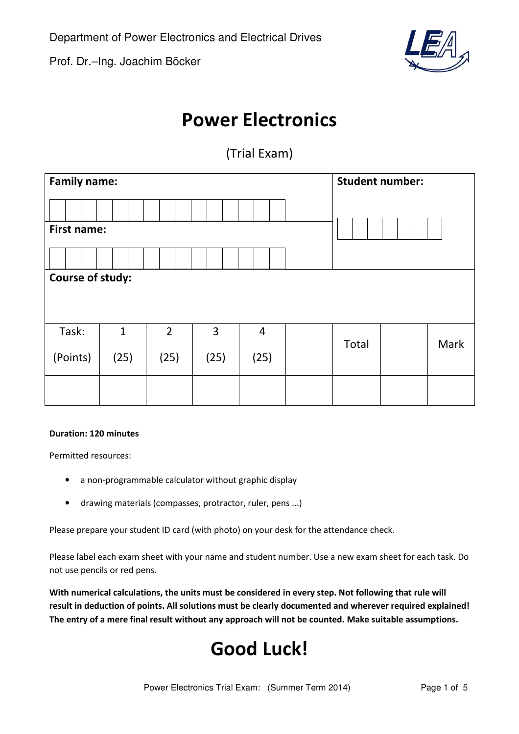Prof. Dr.–Ing. Joachim Böcker



## Power Electronics

(Trial Exam)

| <b>Family name:</b> |              |             |      |                |  |       | <b>Student number:</b> |      |  |
|---------------------|--------------|-------------|------|----------------|--|-------|------------------------|------|--|
|                     |              |             |      |                |  |       |                        |      |  |
| <b>First name:</b>  |              |             |      |                |  |       |                        |      |  |
|                     |              |             |      |                |  |       |                        |      |  |
| Course of study:    |              |             |      |                |  |       |                        |      |  |
|                     |              |             |      |                |  |       |                        |      |  |
| Task:               | $\mathbf{1}$ | $2^{\circ}$ | 3    | $\overline{4}$ |  |       |                        |      |  |
| (Points)            | (25)         | (25)        | (25) | (25)           |  | Total |                        | Mark |  |
|                     |              |             |      |                |  |       |                        |      |  |

### Duration: 120 minutes

Permitted resources:

- a non-programmable calculator without graphic display
- drawing materials (compasses, protractor, ruler, pens ...)

Please prepare your student ID card (with photo) on your desk for the attendance check.

Please label each exam sheet with your name and student number. Use a new exam sheet for each task. Do not use pencils or red pens.

With numerical calculations, the units must be considered in every step. Not following that rule will result in deduction of points. All solutions must be clearly documented and wherever required explained! The entry of a mere final result without any approach will not be counted. Make suitable assumptions.

# Good Luck!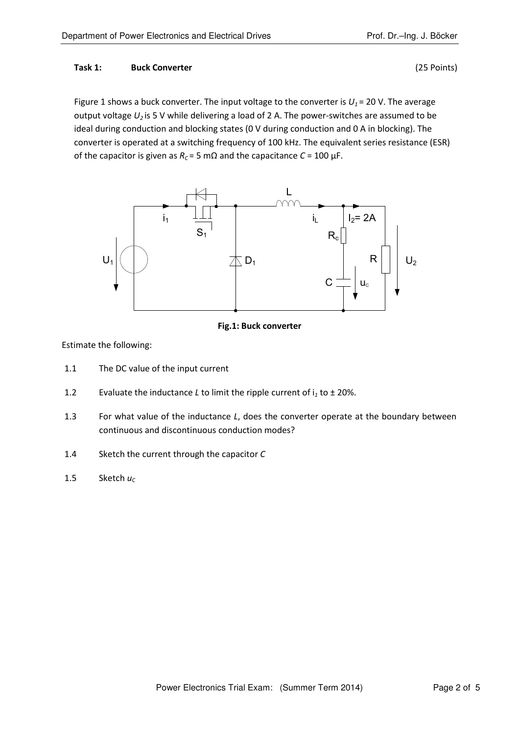### Task 1: Buck Converter (25 Points)

Figure 1 shows a buck converter. The input voltage to the converter is  $U_1 = 20$  V. The average output voltage  $U_2$  is 5 V while delivering a load of 2 A. The power-switches are assumed to be ideal during conduction and blocking states (0 V during conduction and 0 A in blocking). The converter is operated at a switching frequency of 100 kHz. The equivalent series resistance (ESR) of the capacitor is given as  $R_C = 5$  m $\Omega$  and the capacitance  $C = 100 \mu F$ .



## Fig.1: Buck converter

Estimate the following:

- 1.1 The DC value of the input current
- 1.2 Evaluate the inductance *L* to limit the ripple current of  $i_1$  to  $\pm$  20%.
- 1.3 For what value of the inductance L, does the converter operate at the boundary between continuous and discontinuous conduction modes?
- 1.4 Sketch the current through the capacitor C
- 1.5 Sketch  $u_c$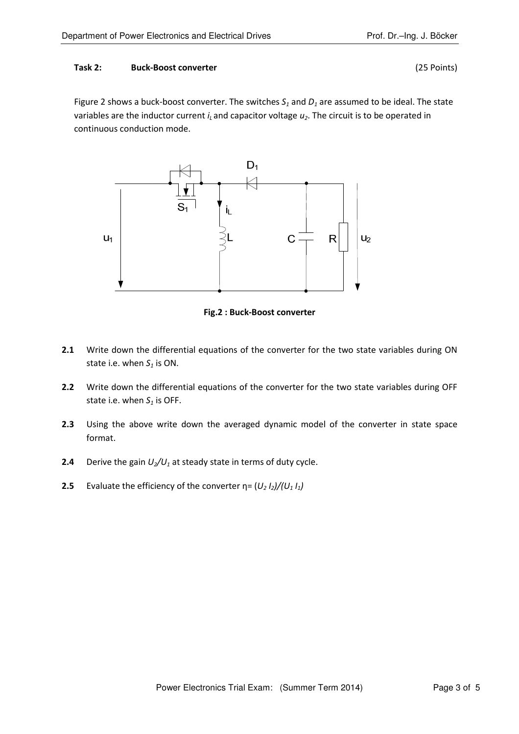#### Task 2: Buck-Boost converter (25 Points)

Figure 2 shows a buck-boost converter. The switches  $S_1$  and  $D_1$  are assumed to be ideal. The state variables are the inductor current  $i<sub>L</sub>$  and capacitor voltage  $u<sub>2</sub>$ . The circuit is to be operated in continuous conduction mode.



Fig.2 : Buck-Boost converter

- 2.1 Write down the differential equations of the converter for the two state variables during ON state i.e. when  $S_1$  is ON.
- 2.2 Write down the differential equations of the converter for the two state variables during OFF state i.e. when  $S_1$  is OFF.
- 2.3 Using the above write down the averaged dynamic model of the converter in state space format.
- **2.4** Derive the gain  $U_2/U_1$  at steady state in terms of duty cycle.
- 2.5 Evaluate the efficiency of the converter  $\eta = (U_2 I_2)/(U_1 I_1)$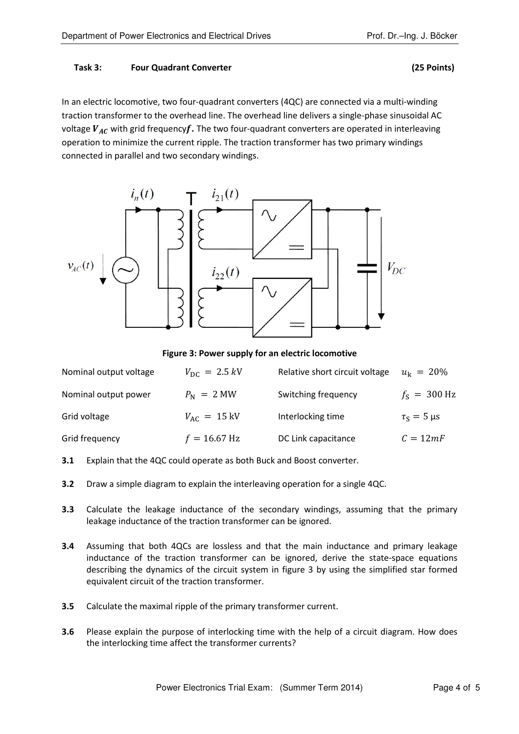#### Task 3: Four Quadrant Converter (25 Points)

In an electric locomotive, two four-quadrant converters (4QC) are connected via a multi-winding traction transformer to the overhead line. The overhead line delivers a single-phase sinusoidal AC voltage  $V_{AC}$  with grid frequency $f$ . The two four-quadrant converters are operated in interleaving operation to minimize the current ripple. The traction transformer has two primary windings connected in parallel and two secondary windings.



Figure 3: Power supply for an electric locomotive

| Nominal output voltage | $V_{\rm DC} = 2.5 \, kV$ | Relative short circuit voltage | $u_{k} = 20\%$       |
|------------------------|--------------------------|--------------------------------|----------------------|
| Nominal output power   | $P_{\rm N}$ = 2 MW       | Switching frequency            | $f_s = 300$ Hz       |
| Grid voltage           | $V_{AC} = 15 \text{ kV}$ | Interlocking time              | $\tau_s = 5 \,\mu s$ |
| Grid frequency         | $f = 16.67$ Hz           | DC Link capacitance            | $C = 12mF$           |

- 3.1 Explain that the 4QC could operate as both Buck and Boost converter.
- **3.2** Draw a simple diagram to explain the interleaving operation for a single 4QC.
- 3.3 Calculate the leakage inductance of the secondary windings, assuming that the primary leakage inductance of the traction transformer can be ignored.
- **3.4** Assuming that both 4QCs are lossless and that the main inductance and primary leakage inductance of the traction transformer can be ignored, derive the state-space equations describing the dynamics of the circuit system in figure 3 by using the simplified star formed equivalent circuit of the traction transformer.
- **3.5** Calculate the maximal ripple of the primary transformer current.
- **3.6** Please explain the purpose of interlocking time with the help of a circuit diagram. How does the interlocking time affect the transformer currents?